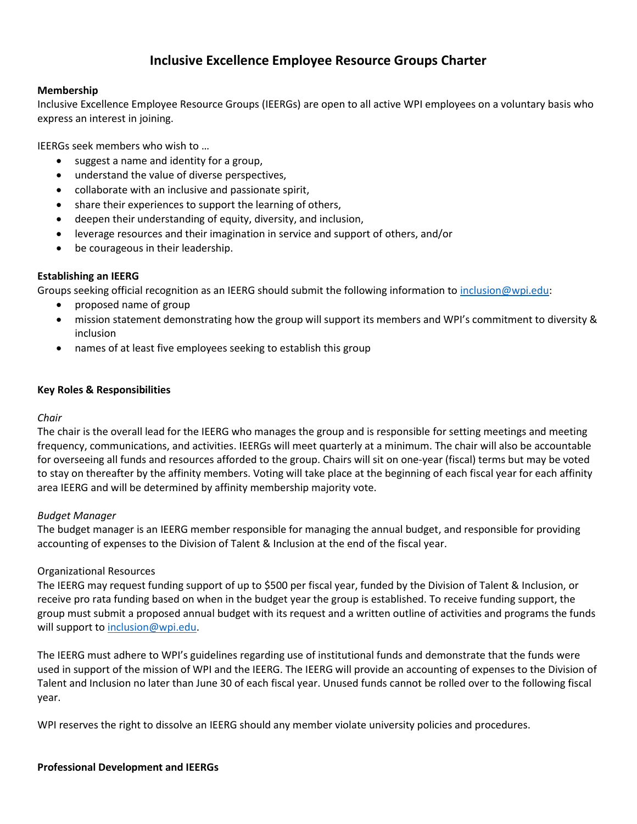# **Inclusive Excellence Employee Resource Groups Charter**

### **Membership**

Inclusive Excellence Employee Resource Groups (IEERGs) are open to all active WPI employees on a voluntary basis who express an interest in joining.

IEERGs seek members who wish to …

- suggest a name and identity for a group,
- understand the value of diverse perspectives,
- collaborate with an inclusive and passionate spirit,
- share their experiences to support the learning of others,
- deepen their understanding of equity, diversity, and inclusion,
- leverage resources and their imagination in service and support of others, and/or
- be courageous in their leadership.

### **Establishing an IEERG**

Groups seeking official recognition as an IEERG should submit the following information to [inclusion@wpi.edu:](mailto:inclusion@wpi.edu)

- proposed name of group
- mission statement demonstrating how the group will support its members and WPI's commitment to diversity & inclusion
- names of at least five employees seeking to establish this group

### **Key Roles & Responsibilities**

### *Chair*

The chair is the overall lead for the IEERG who manages the group and is responsible for setting meetings and meeting frequency, communications, and activities. IEERGs will meet quarterly at a minimum. The chair will also be accountable for overseeing all funds and resources afforded to the group. Chairs will sit on one-year (fiscal) terms but may be voted to stay on thereafter by the affinity members. Voting will take place at the beginning of each fiscal year for each affinity area IEERG and will be determined by affinity membership majority vote.

### *Budget Manager*

The budget manager is an IEERG member responsible for managing the annual budget, and responsible for providing accounting of expenses to the Division of Talent & Inclusion at the end of the fiscal year.

### Organizational Resources

The IEERG may request funding support of up to \$500 per fiscal year, funded by the Division of Talent & Inclusion, or receive pro rata funding based on when in the budget year the group is established. To receive funding support, the group must submit a proposed annual budget with its request and a written outline of activities and programs the funds will support to [inclusion@wpi.edu.](mailto:inclusion@wpi.edu)

The IEERG must adhere to WPI's guidelines regarding use of institutional funds and demonstrate that the funds were used in support of the mission of WPI and the IEERG. The IEERG will provide an accounting of expenses to the Division of Talent and Inclusion no later than June 30 of each fiscal year. Unused funds cannot be rolled over to the following fiscal year.

WPI reserves the right to dissolve an IEERG should any member violate university policies and procedures.

### **Professional Development and IEERGs**